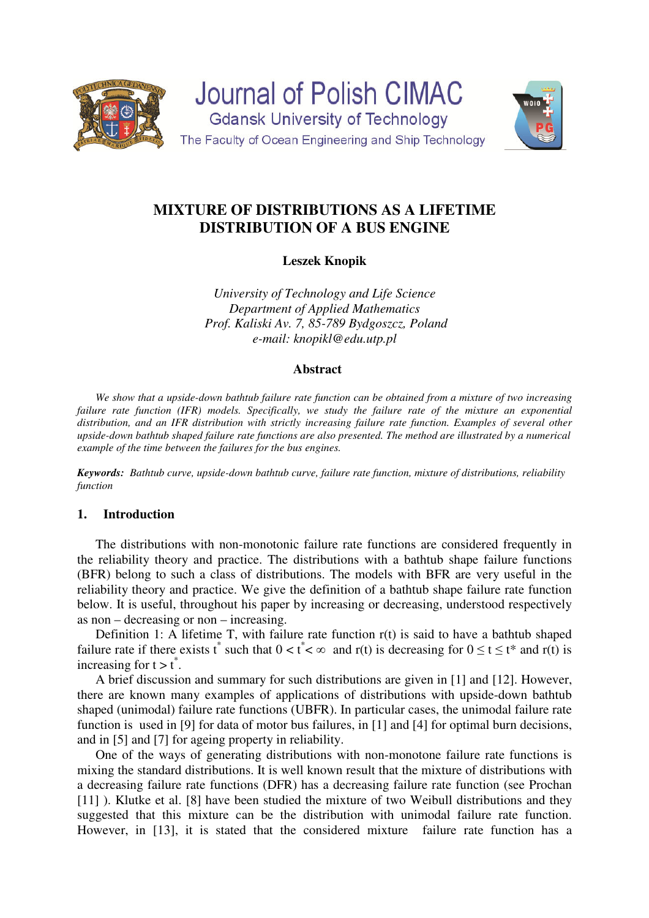

**Journal of Polish CIMAC Gdansk University of Technology** The Faculty of Ocean Engineering and Ship Technology



# **MIXTURE OF DISTRIBUTIONS AS A LIFETIME DISTRIBUTION OF A BUS ENGINE**

**Leszek Knopik** 

*University of Technology and Life Science Department of Applied Mathematics Prof. Kaliski Av. 7, 85-789 Bydgoszcz, Poland e-mail: knopikl@edu.utp.pl* 

## **Abstract**

*We show that a upside-down bathtub failure rate function can be obtained from a mixture of two increasing failure rate function (IFR) models. Specifically, we study the failure rate of the mixture an exponential distribution, and an IFR distribution with strictly increasing failure rate function. Examples of several other upside-down bathtub shaped failure rate functions are also presented. The method are illustrated by a numerical example of the time between the failures for the bus engines.* 

*Keywords: Bathtub curve, upside-down bathtub curve, failure rate function, mixture of distributions, reliability function* 

#### **1. Introduction**

The distributions with non-monotonic failure rate functions are considered frequently in the reliability theory and practice. The distributions with a bathtub shape failure functions (BFR) belong to such a class of distributions. The models with BFR are very useful in the reliability theory and practice. We give the definition of a bathtub shape failure rate function below. It is useful, throughout his paper by increasing or decreasing, understood respectively as non – decreasing or non – increasing.

Definition 1: A lifetime T, with failure rate function r(t) is said to have a bathtub shaped failure rate if there exists t\* such that  $0 < t^* < \infty$  and r(t) is decreasing for  $0 \le t \le t^*$  and r(t) is increasing for  $t > t^*$ .

A brief discussion and summary for such distributions are given in [1] and [12]. However, there are known many examples of applications of distributions with upside-down bathtub shaped (unimodal) failure rate functions (UBFR). In particular cases, the unimodal failure rate function is used in [9] for data of motor bus failures, in [1] and [4] for optimal burn decisions, and in [5] and [7] for ageing property in reliability.

One of the ways of generating distributions with non-monotone failure rate functions is mixing the standard distributions. It is well known result that the mixture of distributions with a decreasing failure rate functions (DFR) has a decreasing failure rate function (see Prochan [11] ). Klutke et al. [8] have been studied the mixture of two Weibull distributions and they suggested that this mixture can be the distribution with unimodal failure rate function. However, in [13], it is stated that the considered mixture failure rate function has a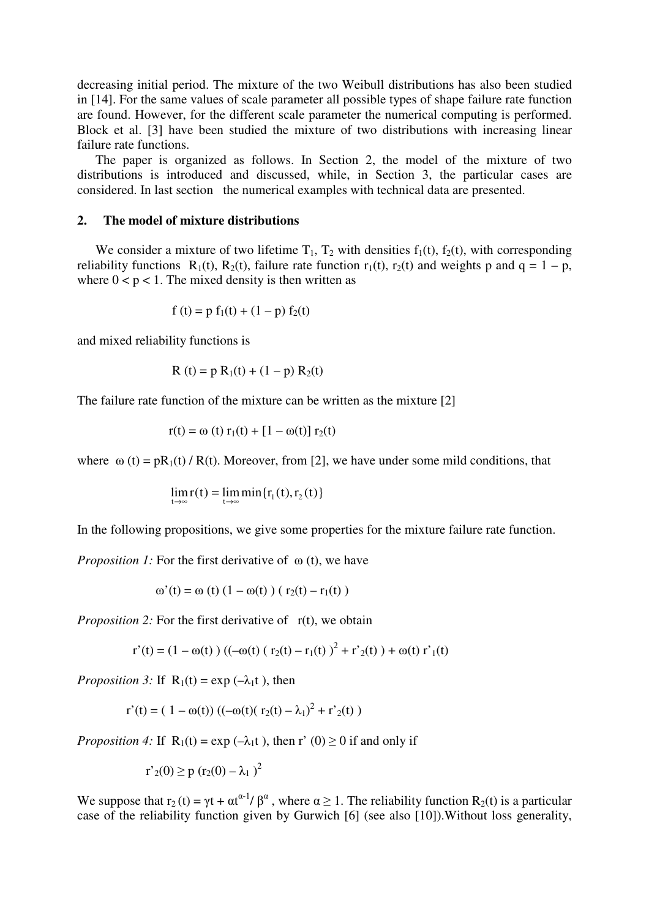decreasing initial period. The mixture of the two Weibull distributions has also been studied in [14]. For the same values of scale parameter all possible types of shape failure rate function are found. However, for the different scale parameter the numerical computing is performed. Block et al. [3] have been studied the mixture of two distributions with increasing linear failure rate functions.

The paper is organized as follows. In Section 2, the model of the mixture of two distributions is introduced and discussed, while, in Section 3, the particular cases are considered. In last section the numerical examples with technical data are presented.

### **2. The model of mixture distributions**

We consider a mixture of two lifetime  $T_1$ ,  $T_2$  with densities  $f_1(t)$ ,  $f_2(t)$ , with corresponding reliability functions  $R_1(t)$ ,  $R_2(t)$ , failure rate function  $r_1(t)$ ,  $r_2(t)$  and weights p and q = 1 – p, where  $0 < p < 1$ . The mixed density is then written as

$$
f(t) = p f_1(t) + (1 - p) f_2(t)
$$

and mixed reliability functions is

$$
R(t) = p R_1(t) + (1 - p) R_2(t)
$$

The failure rate function of the mixture can be written as the mixture [2]

$$
r(t) = \omega(t) r_1(t) + [1 - \omega(t)] r_2(t)
$$

where  $\omega(t) = pR_1(t) / R(t)$ . Moreover, from [2], we have under some mild conditions, that

$$
\lim_{t\to\infty}r(t)=\lim_{t\to\infty}\min\{r_1(t),r_2(t)\}\
$$

In the following propositions, we give some properties for the mixture failure rate function.

*Proposition 1:* For the first derivative of ω (t), we have

$$
\omega'(t) = \omega(t) (1 - \omega(t)) (r_2(t) - r_1(t))
$$

*Proposition 2:* For the first derivative of r(t), we obtain

$$
r'(t) = (1 - \omega(t)) ((-\omega(t) (r_2(t) - r_1(t))^{2} + r'_{2}(t)) + \omega(t) r'_{1}(t))
$$

*Proposition 3:* If  $R_1(t) = \exp(-\lambda_1 t)$ , then

$$
r'(t) = (1 - \omega(t)) ((-\omega(t)) (r_2(t) - \lambda_1)^2 + r'_2(t))
$$

*Proposition 4:* If  $R_1(t) = \exp(-\lambda_1 t)$ , then r' (0)  $\geq 0$  if and only if

$$
r'_{2}(0) \ge p (r_{2}(0) - \lambda_{1})^{2}
$$

We suppose that  $r_2(t) = \gamma t + \alpha t^{\alpha-1}/\beta^{\alpha}$ , where  $\alpha \ge 1$ . The reliability function  $R_2(t)$  is a particular case of the reliability function given by Gurwich [6] (see also [10]).Without loss generality,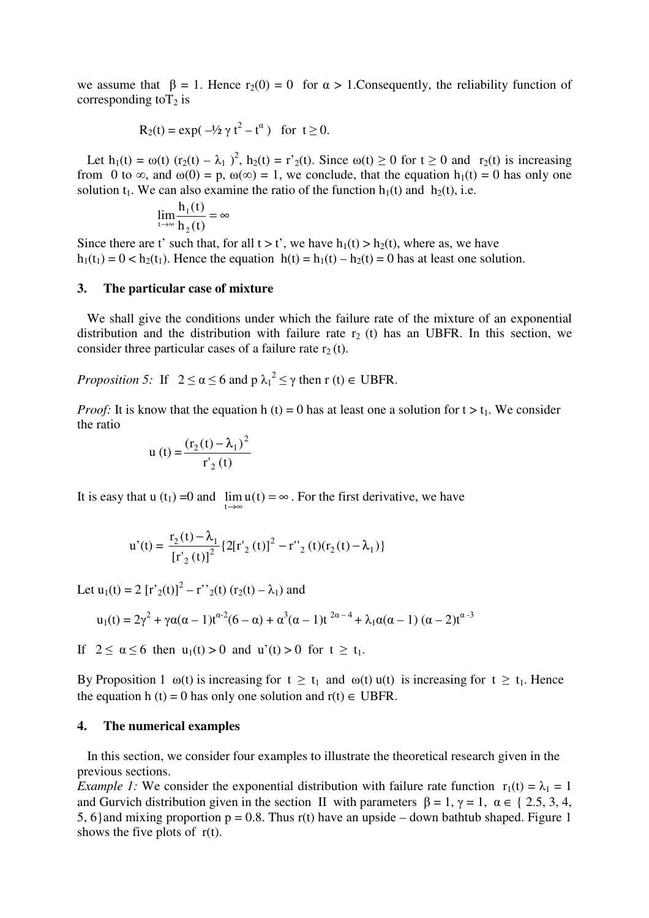we assume that  $\beta = 1$ . Hence r<sub>2</sub>(0) = 0 for  $\alpha > 1$ . Consequently, the reliability function of corresponding to  $T_2$  is

$$
R_2(t) = \exp(-\frac{1}{2}\gamma t^2 - t^{\alpha})
$$
 for  $t \ge 0$ .

Let  $h_1(t) = \omega(t)$   $(r_2(t) - \lambda_1)^2$ ,  $h_2(t) = r'_2(t)$ . Since  $\omega(t) \ge 0$  for  $t \ge 0$  and  $r_2(t)$  is increasing from 0 to  $\infty$ , and  $\omega(0) = p$ ,  $\omega(\infty) = 1$ , we conclude, that the equation  $h_1(t) = 0$  has only one solution t<sub>1</sub>. We can also examine the ratio of the function  $h_1(t)$  and  $h_2(t)$ , i.e.

$$
\lim_{t \to \infty} \frac{h_1(t)}{h_2(t)} = \infty
$$

Since there are t' such that, for all  $t > t'$ , we have  $h_1(t) > h_2(t)$ , where as, we have  $h_1(t_1) = 0 < h_2(t_1)$ . Hence the equation  $h(t) = h_1(t) - h_2(t) = 0$  has at least one solution.

#### **3. The particular case of mixture**

 We shall give the conditions under which the failure rate of the mixture of an exponential distribution and the distribution with failure rate  $r_2$  (t) has an UBFR. In this section, we consider three particular cases of a failure rate  $r_2(t)$ .

*Proposition 5:* If  $2 \le \alpha \le 6$  and  $p \lambda_1^2 \le \gamma$  then  $r(t) \in \text{UBFR}$ .

*Proof:* It is know that the equation h (t) = 0 has at least one a solution for  $t > t_1$ . We consider the ratio

u (t) = 
$$
\frac{(r_2(t) - \lambda_1)^2}{r'_2(t)}
$$

It is easy that u (t<sub>1</sub>) = 0 and  $\lim_{t\to\infty} u(t) = \infty$ . For the first derivative, we have t

$$
u'(t) = \frac{r_2(t) - \lambda_1}{\left[r'_2(t)\right]^2} \left\{2[r'_2(t)]^2 - r''_2(t)(r_2(t) - \lambda_1)\right\}
$$

Let  $u_1(t) = 2 [r'_{2}(t)]^2 - r''_{2}(t) (r_{2}(t) - \lambda_1)$  and

$$
u_1(t) = 2\gamma^2 + \gamma \alpha (\alpha - 1) t^{\alpha - 2} (6 - \alpha) + \alpha^3 (\alpha - 1) t^{2\alpha - 4} + \lambda_1 \alpha (\alpha - 1) (\alpha - 2) t^{\alpha - 3}
$$

If  $2 \le \alpha \le 6$  then  $u_1(t) > 0$  and  $u'(t) > 0$  for  $t \ge t_1$ .

By Proposition 1  $\omega(t)$  is increasing for  $t \ge t_1$  and  $\omega(t)$  u(t) is increasing for  $t \ge t_1$ . Hence the equation h (t) = 0 has only one solution and  $r(t) \in UBFR$ .

#### **4. The numerical examples**

 In this section, we consider four examples to illustrate the theoretical research given in the previous sections.

*Example 1:* We consider the exponential distribution with failure rate function  $r_1(t) = \lambda_1 = 1$ and Gurvich distribution given in the section II with parameters  $\beta = 1$ ,  $\gamma = 1$ ,  $\alpha \in \{2.5, 3, 4,$ 5, 6} and mixing proportion  $p = 0.8$ . Thus r(t) have an upside – down bathtub shaped. Figure 1 shows the five plots of  $r(t)$ .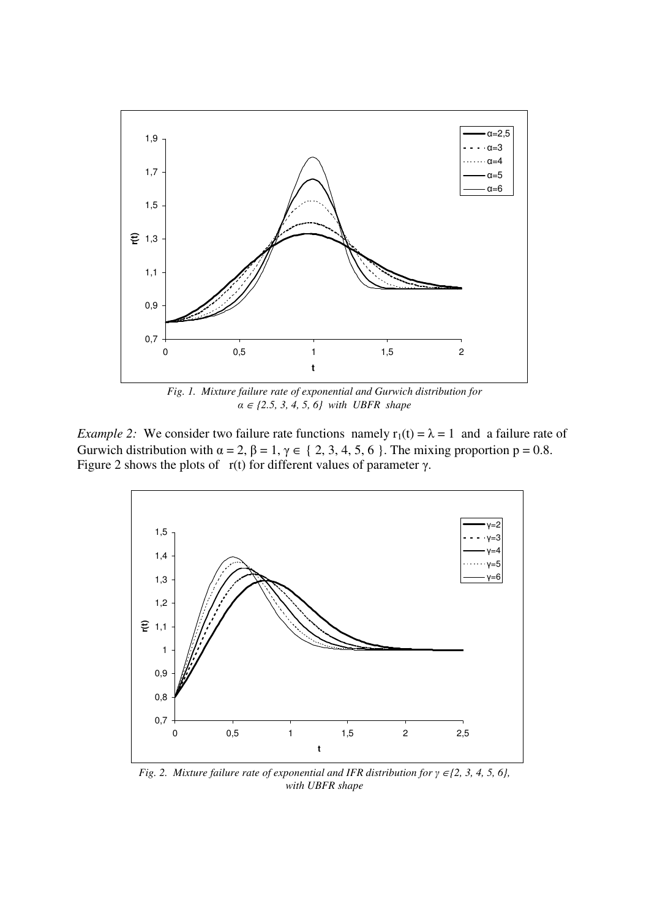

*Fig. 1. Mixture failure rate of exponential and Gurwich distribution for α* <sup>∈</sup> *{2.5, 3, 4, 5, 6} with UBFR shape* 

*Example 2:* We consider two failure rate functions namely  $r_1(t) = \lambda = 1$  and a failure rate of Gurwich distribution with  $\alpha = 2$ ,  $\beta = 1$ ,  $\gamma \in \{2, 3, 4, 5, 6\}$ . The mixing proportion  $p = 0.8$ . Figure 2 shows the plots of  $r(t)$  for different values of parameter  $\gamma$ .



*Fig. 2. Mixture failure rate of exponential and IFR distribution for γ* <sup>∈</sup>*{2, 3, 4, 5, 6}, with UBFR shape*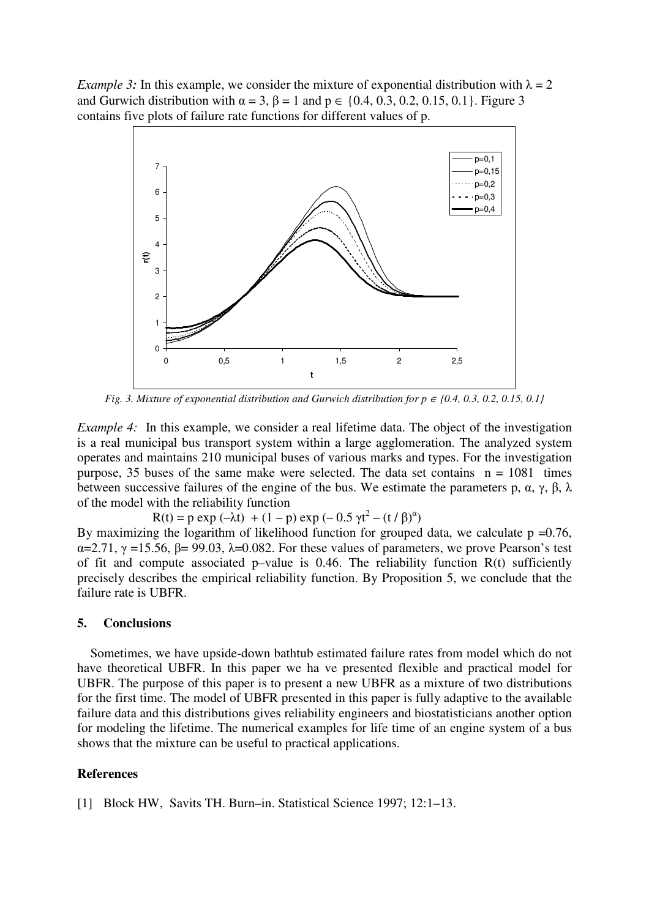*Example 3*: In this example, we consider the mixture of exponential distribution with  $\lambda = 2$ and Gurwich distribution with  $\alpha = 3$ ,  $\beta = 1$  and  $p \in \{0.4, 0.3, 0.2, 0.15, 0.1\}$ . Figure 3 contains five plots of failure rate functions for different values of p.



*Fig. 3. Mixture of exponential distribution and Gurwich distribution for*  $p \in \{0.4, 0.3, 0.2, 0.15, 0.1\}$ 

*Example 4:* In this example, we consider a real lifetime data. The object of the investigation is a real municipal bus transport system within a large agglomeration. The analyzed system operates and maintains 210 municipal buses of various marks and types. For the investigation purpose, 35 buses of the same make were selected. The data set contains  $n = 1081$  times between successive failures of the engine of the bus. We estimate the parameters p,  $\alpha$ ,  $\gamma$ ,  $\beta$ ,  $\lambda$ of the model with the reliability function

 $R(t) = p \exp(-\lambda t) + (1 - p) \exp(-0.5 \gamma t^2 - (t/\beta)^{\alpha})$ 

By maximizing the logarithm of likelihood function for grouped data, we calculate  $p = 0.76$ ,  $\alpha$ =2.71,  $\gamma$  =15.56,  $\beta$ = 99.03,  $\lambda$ =0.082. For these values of parameters, we prove Pearson's test of fit and compute associated p–value is 0.46. The reliability function  $R(t)$  sufficiently precisely describes the empirical reliability function. By Proposition 5, we conclude that the failure rate is UBFR.

#### **5. Conclusions**

 Sometimes, we have upside-down bathtub estimated failure rates from model which do not have theoretical UBFR. In this paper we ha ve presented flexible and practical model for UBFR. The purpose of this paper is to present a new UBFR as a mixture of two distributions for the first time. The model of UBFR presented in this paper is fully adaptive to the available failure data and this distributions gives reliability engineers and biostatisticians another option for modeling the lifetime. The numerical examples for life time of an engine system of a bus shows that the mixture can be useful to practical applications.

#### **References**

[1] Block HW, Savits TH. Burn–in. Statistical Science 1997; 12:1–13.